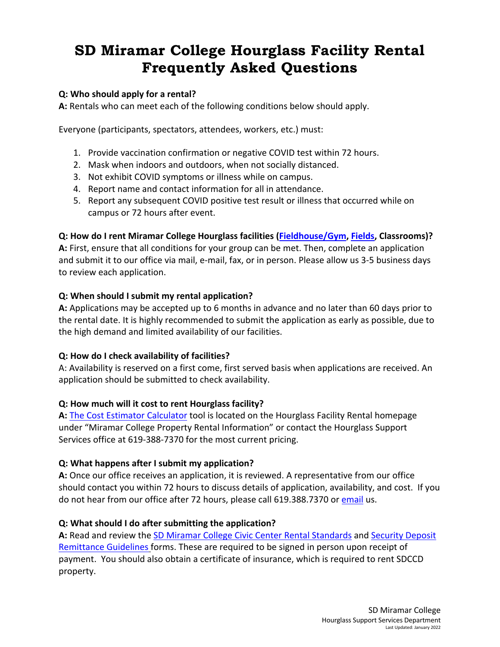# **SD Miramar College Hourglass Facility Rental Frequently Asked Questions**

#### **Q: Who should apply for a rental?**

**A:** Rentals who can meet each of the following conditions below should apply.

Everyone (participants, spectators, attendees, workers, etc.) must:

- 1. Provide vaccination confirmation or negative COVID test within 72 hours.
- 2. Mask when indoors and outdoors, when not socially distanced.
- 3. Not exhibit COVID symptoms or illness while on campus.
- 4. Report name and contact information for all in attendance.
- 5. Report any subsequent COVID positive test result or illness that occurred while on campus or 72 hours after event.

#### **Q: How do I rent Miramar College Hourglass facilities (Fieldhouse/Gym, Fields, Classrooms)?**

**A:** First, ensure that all conditions for your group can be met. Then, complete an application and submit it to our office via mail, e-mail, fax, or in person. Please allow us 3-5 business days to review each application.

#### **Q: When should I submit my rental application?**

**A:** Applications may be accepted up to 6 months in advance and no later than 60 days prior to the rental date. It is highly recommended to submit the application as early as possible, due to the high demand and limited availability of our facilities.

# **Q: How do I check availability of facilities?**

A: Availability is reserved on a first come, first served basis when applications are received. An application should be submitted to check availability.

# **Q: How much will it cost to rent Hourglass facility?**

**A:** The Cost Estimator Calculator tool is located on the Hourglass Facility Rental homepage under "Miramar College Property Rental Information" or contact the Hourglass Support Services office at 619-388-7370 for the most current pricing.

#### **Q: What happens after I submit my application?**

**A:** Once our office receives an application, it is reviewed. A representative from our office should contact you within 72 hours to discuss details of application, availability, and cost. If you do not hear from our office after 72 hours, please call 619.388.7370 or email us.

# **Q: What should I do after submitting the application?**

**A:** Read and review the SD Miramar College Civic Center Rental Standards and Security Deposit Remittance Guidelines forms. These are required to be signed in person upon receipt of payment. You should also obtain a certificate of insurance, which is required to rent SDCCD property.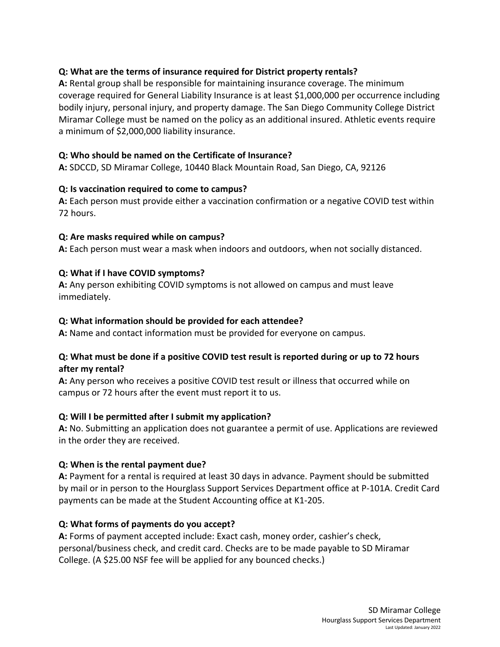# **Q: What are the terms of insurance required for District property rentals?**

**A:** Rental group shall be responsible for maintaining insurance coverage. The minimum coverage required for General Liability Insurance is at least \$1,000,000 per occurrence including bodily injury, personal injury, and property damage. The San Diego Community College District Miramar College must be named on the policy as an additional insured. Athletic events require a minimum of \$2,000,000 liability insurance.

# **Q: Who should be named on the Certificate of Insurance?**

**A:** SDCCD, SD Miramar College, 10440 Black Mountain Road, San Diego, CA, 92126

#### **Q: Is vaccination required to come to campus?**

**A:** Each person must provide either a vaccination confirmation or a negative COVID test within 72 hours.

#### **Q: Are masks required while on campus?**

**A:** Each person must wear a mask when indoors and outdoors, when not socially distanced.

#### **Q: What if I have COVID symptoms?**

**A:** Any person exhibiting COVID symptoms is not allowed on campus and must leave immediately.

#### **Q: What information should be provided for each attendee?**

**A:** Name and contact information must be provided for everyone on campus.

#### **Q: What must be done if a positive COVID test result is reported during or up to 72 hours after my rental?**

**A:** Any person who receives a positive COVID test result or illness that occurred while on campus or 72 hours after the event must report it to us.

#### **Q: Will I be permitted after I submit my application?**

**A:** No. Submitting an application does not guarantee a permit of use. Applications are reviewed in the order they are received.

# **Q: When is the rental payment due?**

**A:** Payment for a rental is required at least 30 days in advance. Payment should be submitted by mail or in person to the Hourglass Support Services Department office at P-101A. Credit Card payments can be made at the Student Accounting office at K1-205.

# **Q: What forms of payments do you accept?**

**A:** Forms of payment accepted include: Exact cash, money order, cashier's check, personal/business check, and credit card. Checks are to be made payable to SD Miramar College. (A \$25.00 NSF fee will be applied for any bounced checks.)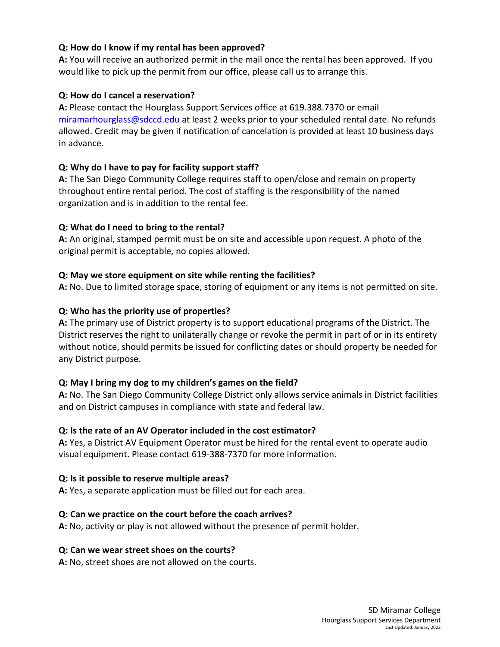# **Q: How do I know if my rental has been approved?**

**A:** You will receive an authorized permit in the mail once the rental has been approved. If you would like to pick up the permit from our office, please call us to arrange this.

# **Q: How do I cancel a reservation?**

**A:** Please contact the Hourglass Support Services office at 619.388.7370 or email miramarhourglass@sdccd.edu at least 2 weeks prior to your scheduled rental date. No refunds allowed. Credit may be given if notification of cancelation is provided at least 10 business days in advance.

# **Q: Why do I have to pay for facility support staff?**

**A:** The San Diego Community College requires staff to open/close and remain on property throughout entire rental period. The cost of staffing is the responsibility of the named organization and is in addition to the rental fee.

# **Q: What do I need to bring to the rental?**

**A:** An original, stamped permit must be on site and accessible upon request. A photo of the original permit is acceptable, no copies allowed.

# **Q: May we store equipment on site while renting the facilities?**

**A:** No. Due to limited storage space, storing of equipment or any items is not permitted on site.

# **Q: Who has the priority use of properties?**

**A:** The primary use of District property is to support educational programs of the District. The District reserves the right to unilaterally change or revoke the permit in part of or in its entirety without notice, should permits be issued for conflicting dates or should property be needed for any District purpose.

# **Q: May I bring my dog to my children's games on the field?**

**A:** No. The San Diego Community College District only allows service animals in District facilities and on District campuses in compliance with state and federal law.

# **Q: Is the rate of an AV Operator included in the cost estimator?**

**A:** Yes, a District AV Equipment Operator must be hired for the rental event to operate audio visual equipment. Please contact 619-388-7370 for more information.

# **Q: Is it possible to reserve multiple areas?**

**A:** Yes, a separate application must be filled out for each area.

# **Q: Can we practice on the court before the coach arrives?**

**A:** No, activity or play is not allowed without the presence of permit holder.

# **Q: Can we wear street shoes on the courts?**

**A:** No, street shoes are not allowed on the courts.